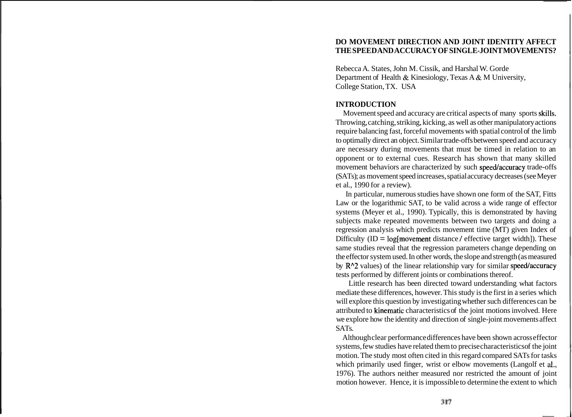### **DO MOVEMENT DIRECTION AND JOINT IDENTITY AFFECT THE SPEED AND ACCURACY OF SINGLE-JOINT MOVEMENTS?**

Rebecca A. States, John M. Cissik, and Harshal W. Gorde Department of Health & Kinesiology, Texas A & M University, College Station, TX. USA

# **INTRODUCTION**

Movement speed and accuracy are critical aspects of many sports skills. Throwing, catching, striking, kicking, as well as other manipulatory actions require balancing fast, forceful movements with spatial control of the limb to optimally direct an object. Similar trade-offs between speed and accuracy are necessary during movements that must be timed in relation to an opponent or to external cues. Research has shown that many skilled movement behaviors are characterized by such speed/accuracy trade-offs (SATs); as movement speed increases, spatial accuracy decreases (see Meyer et al., 1990 for a review).

In particular, numerous studies have shown one form of the SAT, Fitts Law or the logarithmic SAT, to be valid across a wide range of effector systems (Meyer et al., 1990). Typically, this is demonstrated by having subjects make repeated movements between two targets and doing a regression analysis which predicts movement time (MT) given Index of Difficulty  $(ID = log[ movement distance / effective target width]).$  These same studies reveal that the regression parameters change depending on the effector system used. In other words, the slope and strength (as measured by  $R^2$  values) of the linear relationship vary for similar speed/accuracy tests performed by different joints or combinations thereof.

Little research has been directed toward understanding what factors mediate these differences, however. This study is the first in a series which will explore this question by investigating whether such differences can be attributed to kinematic characteristics of the joint motions involved. Here we explore how the identity and direction of single-joint movements affect SATs.

Although clear performance differences have been shown across effector systems, few studies have related them to precise characteristics of the joint motion. The study most often cited in this regard compared SATs for tasks which primarily used finger, wrist or elbow movements (Langolf et **al.,**  1976). The authors neither measured nor restricted the amount of joint motion however. Hence, it is impossible to determine the extent to which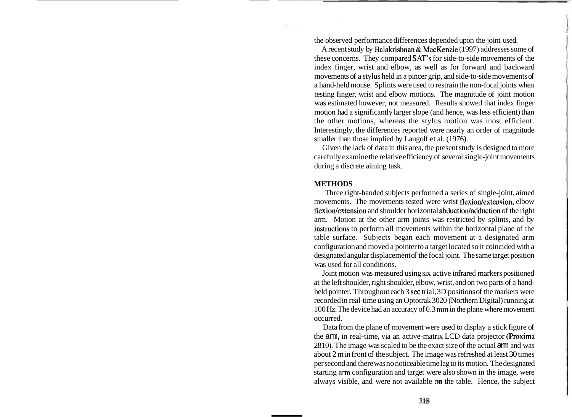the observed performance differences depended upon the joint used.

A recent study by Balakrishnan & MacKenzie (1997) addresses some of these concerns. They compared SAT'S for side-to-side movements of the index finger, wrist and elbow, as well as for forward and backward movements of a stylus held in a pincer grip, and side-to-side movements of a hand-held mouse. Splints were used to restrain the non-focal joints when testing finger, wrist and elbow motions. The magnitude of joint motion was estimated however, not measured. Results showed that index finger motion had a significantly larger slope (and hence, was less efficient) than the other motions, whereas the stylus motion was most efficient. Interestingly, the differences reported were nearly an order of magnitude smaller than those implied by Langolf et al. (1976).

Given the lack of data in this area, the present study is designed to more carefully examine the relative efficiency of several single-joint movements during a discrete aiming task.

#### **METHODS**

Three right-handed subjects performed a series of single-joint, aimed movements. The movements tested were wrist flexion/extension, elbow flexion/extension and shoulder horizontal abduction/adduction of the right arm. Motion at the other arm joints was restricted by splints, and by instructions to perform all movements within the horizontal plane of the table surface. Subjects began each movement at a designated arm configuration and moved a pointer to a target located so it coincided with a designated angular displacement of the focal joint. The same target position was used for all conditions.

Joint motion was measured using six active infrared markers positioned at the left shoulder, right shoulder, elbow, wrist, and on two parts of a handheld pointer. Throughout each 3 sec trial, 3D positions of the markers were recorded in real-time using an Optotrak 3020 (Northern Digital) running at 100 Hz. The device had an accuracy of 0.3 **mm** in the plane where movement occurred.

Data from the plane of movement were used to display a stick figure of the arm, in real-time, via an active-matrix LCD data projector (Proxima 28 10). The image was scaled to be the exact size of the actual arm and was about 2 m in front of the subject. The image was refreshed at least 30 times per second and there was no noticeable time lag to its motion. The designated starting arm configuration and target were also shown in the image, were always visible, and were not available on the table. Hence, the subject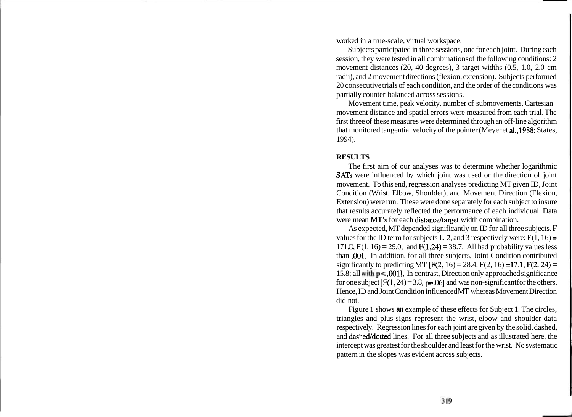worked in a true-scale, virtual workspace.

Subjects participated in three sessions, one for each joint. During each session, they were tested in all combinations of the following conditions: 2 movement distances (20, 40 degrees), 3 target widths (0.5, 1.0, 2.0 cm radii), and 2 movement directions (flexion, extension). Subjects performed 20 consecutive trials of each condition, and the order of the conditions was partially counter-balanced across sessions.

Movement time, peak velocity, number of submovements, Cartesian movement distance and spatial errors were measured from each trial. The first three of these measures were determined through an off-line algorithm that monitored tangential velocity of the pointer (Meyer et al.,1988; States, 1994).

### **RESULTS**

The first aim of our analyses was to determine whether logarithmic SATs were influenced by which joint was used or the direction of joint movement. To this end, regression analyses predicting MT given ID, Joint Condition (Wrist, Elbow, Shoulder), and Movement Direction (Flexion, Extension) were run. These were done separately for each subject to insure that results accurately reflected the performance of each individual. Data were mean MT's for each distance/target width combination.

As expected, MT depended significantly on ID for all three subjects. F values for the ID term for subjects 1, 2, and 3 respectively were:  $F(1, 16) =$ 171.O,  $F(1, 16) = 29.0$ , and  $F(1,24) = 38.7$ . All had probability values less than .001. In addition, for all three subjects, Joint Condition contributed significantly to predicting MT  $[ F(2, 16) = 28.4, F(2, 16) = 17.1, F(2, 24) =$ 15.8; all with  $p < 0.001$ . In contrast, Direction only approached significance for one subject  $[F(1, 24) = 3.8, p = .06]$  and was non-significant for the others. Hence, ID and Joint Condition influenced **MT** whereas Movement Direction did not.

Figure 1 shows **an** example of these effects for Subject 1. The circles, triangles and plus signs represent the wrist, elbow and shoulder data respectively. Regression lines for each joint are given by the solid, dashed, and dashed/dotted lines. For all three subjects and as illustrated here, the intercept was greatest for the shoulder and least for the wrist. No systematic pattern in the slopes was evident across subjects.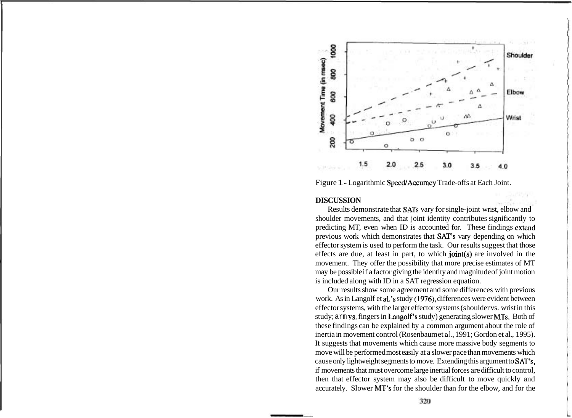

Figure 1 - Logarithmic Speed/Accuracy Trade-offs at Each Joint.

## **DISCUSSION**

Results demonstrate that SATs vary for single-joint wrist, elbow and shoulder movements, and that joint identity contributes significantly to predicting MT, even when ID is accounted for. These findings extend previous work which demonstrates that SAT's vary depending on which effector system is used to perform the task. Our results suggest that those effects are due, at least in part, to which joint(s) are involved in the movement. They offer the possibility that more precise estimates of MT may be possible if a factor giving the identity and magnitude of joint motion is included along with ID in a SAT regression equation.

Our results show some agreement and some differences with previous work. As in Langolf et al.'s study (1976), differences were evident between effector systems, with the larger effector systems (shoulder vs. wrist in this study; arm vs, fingers in Langolf's study) generating slower MTs. Both of these findings can be explained by a common argument about the role of inertia in movement control (Rosenbaum et al., 1991; Gordon et al., 1995). It suggests that movements which cause more massive body segments to move will be performed most easily at a slower pace than movements which cause only lightweight segments to move. Extending this argument to SAT's, if movements that must overcome large inertial forces are difficult to control, then that effector system may also be difficult to move quickly and accurately. Slower MT's for the shoulder than for the elbow, and for the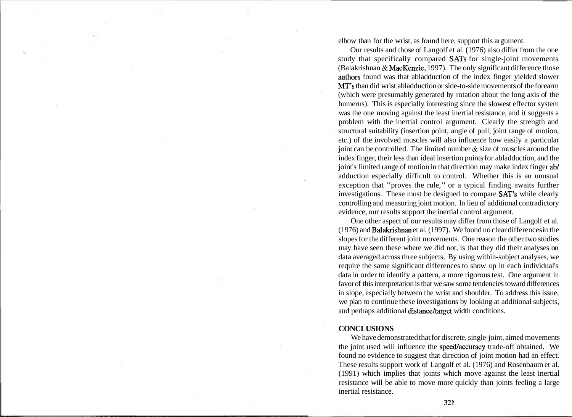elbow than for the wrist, as found here, support this argument.

Our results and those of Langolf et al. (1976) also differ from the one study that specifically compared SATs for single-joint movements (Balakrishnan & MacKenzie, 1997). The only significant difference those authors found was that abladduction of the index finger yielded slower MT's than did wrist abladduction or side-to-side movements of the forearm (which were presumably generated by rotation about the long axis of the humerus). This is especially interesting since the slowest effector system was the one moving against the least inertial resistance, and it suggests a problem with the inertial control argument. Clearly the strength and structural suitability (insertion point, angle of pull, joint range of motion, etc.) of the involved muscles will also influence how easily a particular joint can be controlled. The limited number & size of muscles around the index finger, their less than ideal insertion points for abladduction, and the joint's limited range of motion in that direction may make index finger ab/ adduction especially difficult to control. Whether this is an unusual exception that "proves the rule," or a typical finding awaits further investigations. These must be designed to compare SAT'S while clearly controlling and measuring joint motion. In lieu of additional contradictory evidence, our results support the inertial control argument.

One other aspect of our results may differ from those of Langolf et al. (1976) and Balakrishnan et al. (1997). We found no clear differences in the slopes for the different joint movements. One reason the other two studies may have seen these where we did not, is that they did their analyses on data averaged across three subjects. By using within-subject analyses, we require the same significant differences to show up in each individual's data in order to identify a pattern, a more rigorous test. One argument in favor of this interpretation is that we saw some tendencies toward differences in slope, especially between the wrist and shoulder. To address this issue, we plan to continue these investigations by looking at additional subjects, and perhaps additional distance/target width conditions.

#### **CONCLUSIONS**

We have demonstrated that for discrete, single-joint, aimed movements the joint used will influence the speed/accuracy trade-off obtained. We found no evidence to suggest that direction of joint motion had an effect. These results support work of Langolf et al. (1976) and Rosenbaum et al. (1991) which implies that joints which move against the least inertial resistance will be able to move more quickly than joints feeling a large inertial resistance.